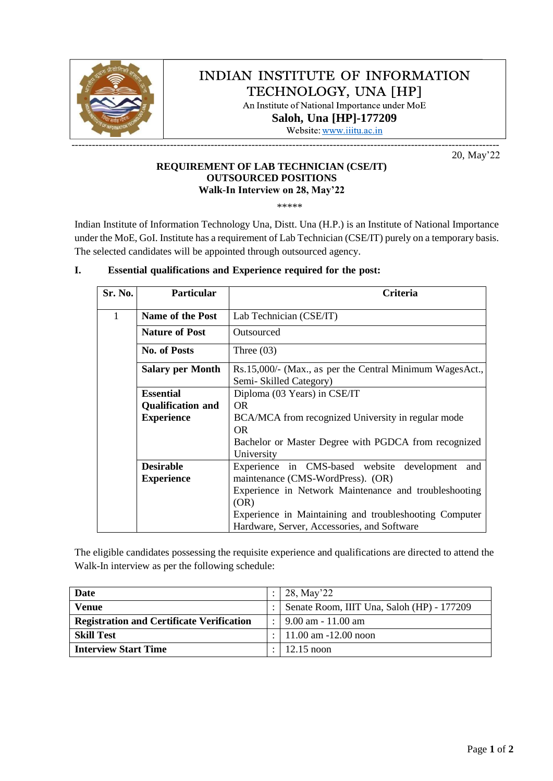

## INDIAN INSTITUTE OF INFORMATION TECHNOLOGY, UNA [HP]

An Institute of National Importance under MoE **Saloh, Una [\[HP\]-1772](http://www.iiitu.ac.in/)09**

Website: www.iiitu.ac.in

20, May'22

#### **REQUIREMENT OF LAB TECHNICIAN (CSE/IT) OUTSOURCED POSITIONS Walk-In Interview on 28, May'22**

\*\*\*\*\*

Indian Institute of Information Technology Una, Distt. Una (H.P.) is an Institute of National Importance under the MoE, GoI. Institute has a requirement of Lab Technician (CSE/IT) purely on a temporary basis. The selected candidates will be appointed through outsourced agency.

| Sr. No. | <b>Particular</b>        | Criteria                                                 |  |  |  |  |  |  |
|---------|--------------------------|----------------------------------------------------------|--|--|--|--|--|--|
| 1       | Name of the Post         | Lab Technician (CSE/IT)                                  |  |  |  |  |  |  |
|         | <b>Nature of Post</b>    | Outsourced                                               |  |  |  |  |  |  |
|         | <b>No. of Posts</b>      | Three $(03)$                                             |  |  |  |  |  |  |
|         | <b>Salary per Month</b>  | Rs.15,000/- (Max., as per the Central Minimum WagesAct., |  |  |  |  |  |  |
|         |                          | Semi-Skilled Category)                                   |  |  |  |  |  |  |
|         | <b>Essential</b>         | Diploma (03 Years) in CSE/IT                             |  |  |  |  |  |  |
|         | <b>Qualification and</b> | OR.                                                      |  |  |  |  |  |  |
|         | <b>Experience</b>        | BCA/MCA from recognized University in regular mode       |  |  |  |  |  |  |
|         |                          | OR.                                                      |  |  |  |  |  |  |
|         |                          | Bachelor or Master Degree with PGDCA from recognized     |  |  |  |  |  |  |
|         |                          | University                                               |  |  |  |  |  |  |
|         | <b>Desirable</b>         | Experience in CMS-based website development<br>and       |  |  |  |  |  |  |
|         | <b>Experience</b>        | maintenance (CMS-WordPress). (OR)                        |  |  |  |  |  |  |
|         |                          | Experience in Network Maintenance and troubleshooting    |  |  |  |  |  |  |
|         |                          | (OR)                                                     |  |  |  |  |  |  |
|         |                          | Experience in Maintaining and troubleshooting Computer   |  |  |  |  |  |  |
|         |                          | Hardware, Server, Accessories, and Software              |  |  |  |  |  |  |

#### **I. Essential qualifications and Experience required for the post:**

The eligible candidates possessing the requisite experience and qualifications are directed to attend the Walk-In interview as per the following schedule:

| Date                                             | 28, May'22                                   |
|--------------------------------------------------|----------------------------------------------|
| <b>Venue</b>                                     | Senate Room, IIIT Una, Saloh (HP) - 177209   |
| <b>Registration and Certificate Verification</b> | : $\frac{9.00 \text{ am}}{11.00 \text{ am}}$ |
| <b>Skill Test</b>                                | $: 11.00$ am $-12.00$ noon                   |
| <b>Interview Start Time</b>                      | $\pm 12.15$ noon                             |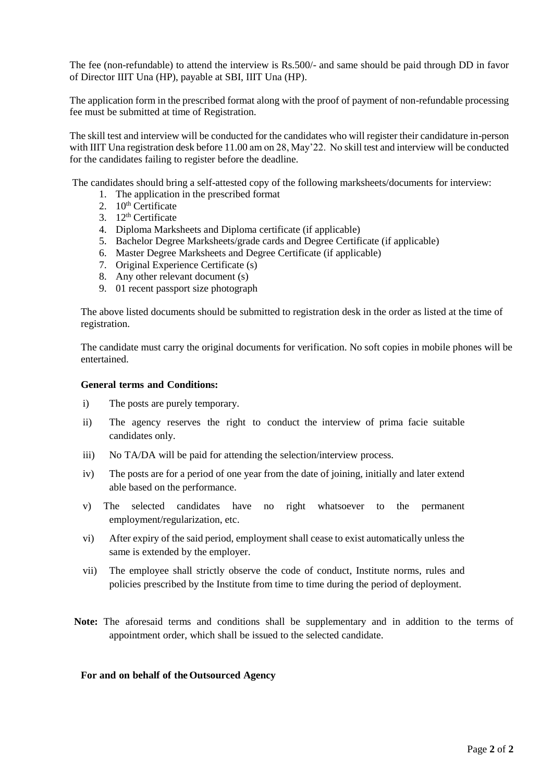The fee (non-refundable) to attend the interview is Rs.500/- and same should be paid through DD in favor of Director IIIT Una (HP), payable at SBI, IIIT Una (HP).

The application form in the prescribed format along with the proof of payment of non-refundable processing fee must be submitted at time of Registration.

The skill test and interview will be conducted for the candidates who will register their candidature in-person with IIIT Una registration desk before 11.00 am on 28, May'22. No skill test and interview will be conducted for the candidates failing to register before the deadline.

The candidates should bring a self-attested copy of the following marksheets/documents for interview:

- 1. The application in the prescribed format
- 2.  $10^{\text{th}}$  Certificate
- 3.  $12<sup>th</sup>$  Certificate
- 4. Diploma Marksheets and Diploma certificate (if applicable)
- 5. Bachelor Degree Marksheets/grade cards and Degree Certificate (if applicable)
- 6. Master Degree Marksheets and Degree Certificate (if applicable)
- 7. Original Experience Certificate (s)
- 8. Any other relevant document (s)
- 9. 01 recent passport size photograph

The above listed documents should be submitted to registration desk in the order as listed at the time of registration.

The candidate must carry the original documents for verification. No soft copies in mobile phones will be entertained.

#### **General terms and Conditions:**

- i) The posts are purely temporary.
- ii) The agency reserves the right to conduct the interview of prima facie suitable candidates only.
- iii) No TA/DA will be paid for attending the selection/interview process.
- iv) The posts are for a period of one year from the date of joining, initially and later extend able based on the performance.
- v) The selected candidates have no right whatsoever to the permanent employment/regularization, etc.
- vi) After expiry of the said period, employment shall cease to exist automatically unless the same is extended by the employer.
- vii) The employee shall strictly observe the code of conduct, Institute norms, rules and policies prescribed by the Institute from time to time during the period of deployment.
- **Note:** The aforesaid terms and conditions shall be supplementary and in addition to the terms of appointment order, which shall be issued to the selected candidate.

#### **For and on behalf of the Outsourced Agency**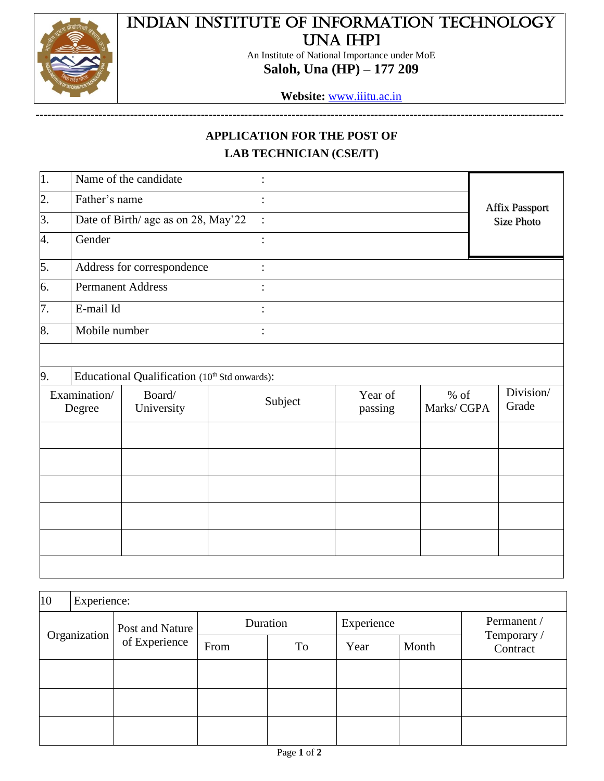

# Indian Institute of Information Technology Una [HP]

An Institute of National Importance under MoE **Saloh, Una (HP) – 177 209**

**Website:** [www.iiitu.ac.in](http://www.iiitu.ac.in/)

**--------------------------------------------------------------------------------------------------------------------------------------**

## **APPLICATION FOR THE POST OF LAB TECHNICIAN (CSE/IT)**

| $\vert$ 1.       |                                     | Name of the candidate                         |                        |         |        |                       |
|------------------|-------------------------------------|-----------------------------------------------|------------------------|---------|--------|-----------------------|
| $\overline{2}$ . | Father's name                       |                                               |                        |         |        | <b>Affix Passport</b> |
| $\overline{3}$ . | Date of Birth/ age as on 28, May'22 |                                               | $\ddot{\phantom{1}}$ : |         |        | Size Photo            |
| 4.               | Gender                              |                                               |                        |         |        |                       |
| 5.               |                                     | Address for correspondence                    |                        |         |        |                       |
| 6.               | <b>Permanent Address</b>            |                                               |                        |         |        |                       |
| 7.               | E-mail Id                           |                                               |                        |         |        |                       |
| 8.               | Mobile number                       |                                               |                        |         |        |                       |
|                  |                                     |                                               |                        |         |        |                       |
| 9.               |                                     | Educational Qualification (10th Std onwards): |                        |         |        |                       |
|                  | Examination/                        | Board/                                        | Subject                | Year of | $%$ of | Division/             |

| Examination/<br>Degree | Board/<br>University | Subject | Year of<br>passing | $%$ of<br>Marks/CGPA | Division/<br>Grade |
|------------------------|----------------------|---------|--------------------|----------------------|--------------------|
|                        |                      |         |                    |                      |                    |
|                        |                      |         |                    |                      |                    |
|                        |                      |         |                    |                      |                    |
|                        |                      |         |                    |                      |                    |
|                        |                      |         |                    |                      |                    |
|                        |                      |         |                    |                      |                    |

| 10 | Experience:  |                                  |          |    |            |       |                         |
|----|--------------|----------------------------------|----------|----|------------|-------|-------------------------|
|    | Organization | Post and Nature<br>of Experience | Duration |    | Experience |       | Permanent /             |
|    |              |                                  | From     | To | Year       | Month | Temporary /<br>Contract |
|    |              |                                  |          |    |            |       |                         |
|    |              |                                  |          |    |            |       |                         |
|    |              |                                  |          |    |            |       |                         |
|    |              |                                  |          |    |            |       |                         |